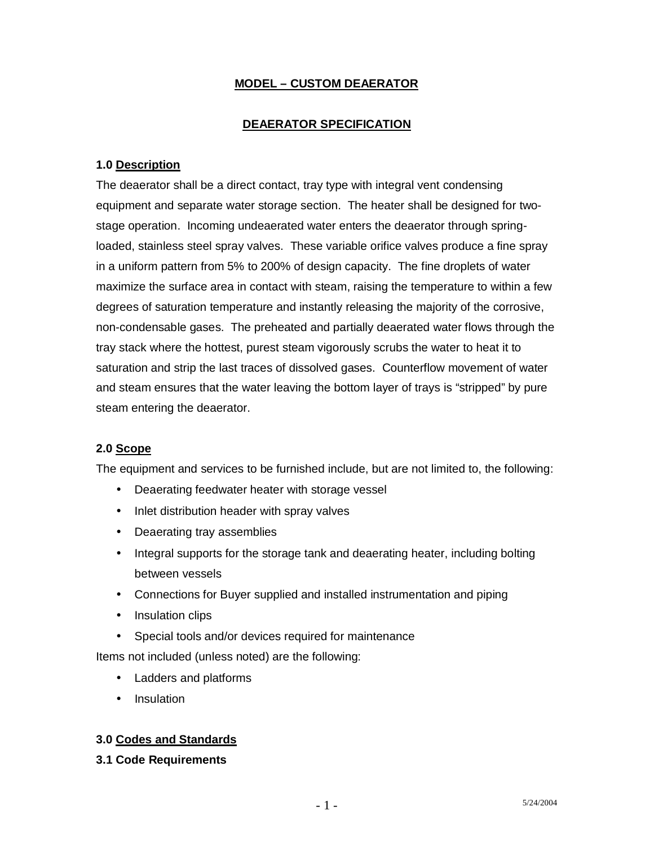## **MODEL – CUSTOM DEAERATOR**

### **DEAERATOR SPECIFICATION**

### **1.0 Description**

The deaerator shall be a direct contact, tray type with integral vent condensing equipment and separate water storage section. The heater shall be designed for twostage operation. Incoming undeaerated water enters the deaerator through springloaded, stainless steel spray valves. These variable orifice valves produce a fine spray in a uniform pattern from 5% to 200% of design capacity. The fine droplets of water maximize the surface area in contact with steam, raising the temperature to within a few degrees of saturation temperature and instantly releasing the majority of the corrosive, non-condensable gases. The preheated and partially deaerated water flows through the tray stack where the hottest, purest steam vigorously scrubs the water to heat it to saturation and strip the last traces of dissolved gases. Counterflow movement of water and steam ensures that the water leaving the bottom layer of trays is "stripped" by pure steam entering the deaerator.

#### **2.0 Scope**

The equipment and services to be furnished include, but are not limited to, the following:

- Deaerating feedwater heater with storage vessel
- Inlet distribution header with spray valves
- Deaerating tray assemblies
- Integral supports for the storage tank and deaerating heater, including bolting between vessels
- Connections for Buyer supplied and installed instrumentation and piping
- Insulation clips
- Special tools and/or devices required for maintenance

Items not included (unless noted) are the following:

- Ladders and platforms
- Insulation

### **3.0 Codes and Standards**

**3.1 Code Requirements**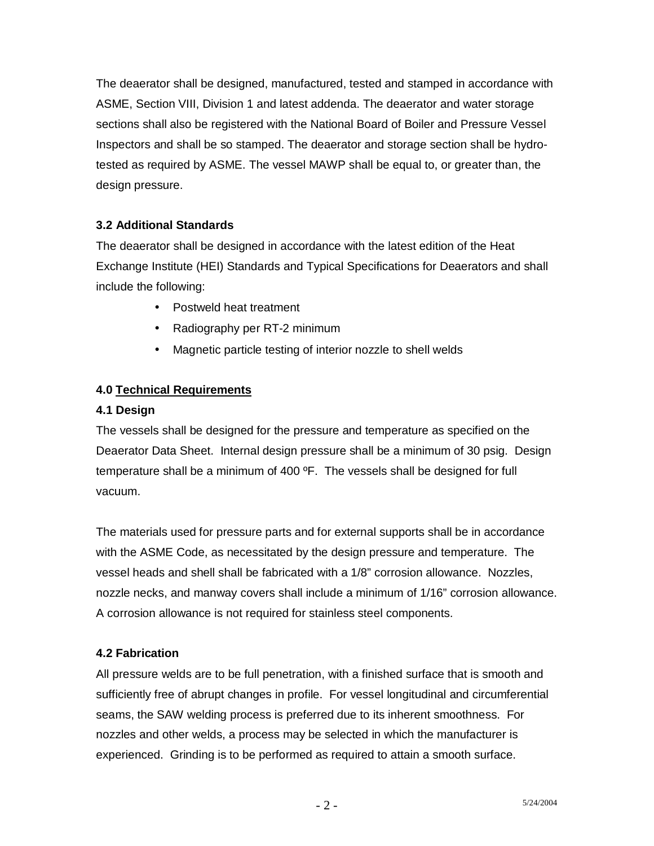The deaerator shall be designed, manufactured, tested and stamped in accordance with ASME, Section VIII, Division 1 and latest addenda. The deaerator and water storage sections shall also be registered with the National Board of Boiler and Pressure Vessel Inspectors and shall be so stamped. The deaerator and storage section shall be hydrotested as required by ASME. The vessel MAWP shall be equal to, or greater than, the design pressure.

# **3.2 Additional Standards**

The deaerator shall be designed in accordance with the latest edition of the Heat Exchange Institute (HEI) Standards and Typical Specifications for Deaerators and shall include the following:

- Postweld heat treatment
- Radiography per RT-2 minimum
- Magnetic particle testing of interior nozzle to shell welds

# **4.0 Technical Requirements**

### **4.1 Design**

The vessels shall be designed for the pressure and temperature as specified on the Deaerator Data Sheet. Internal design pressure shall be a minimum of 30 psig. Design temperature shall be a minimum of 400 ºF. The vessels shall be designed for full vacuum.

The materials used for pressure parts and for external supports shall be in accordance with the ASME Code, as necessitated by the design pressure and temperature. The vessel heads and shell shall be fabricated with a 1/8" corrosion allowance. Nozzles, nozzle necks, and manway covers shall include a minimum of 1/16" corrosion allowance. A corrosion allowance is not required for stainless steel components.

## **4.2 Fabrication**

All pressure welds are to be full penetration, with a finished surface that is smooth and sufficiently free of abrupt changes in profile. For vessel longitudinal and circumferential seams, the SAW welding process is preferred due to its inherent smoothness. For nozzles and other welds, a process may be selected in which the manufacturer is experienced. Grinding is to be performed as required to attain a smooth surface.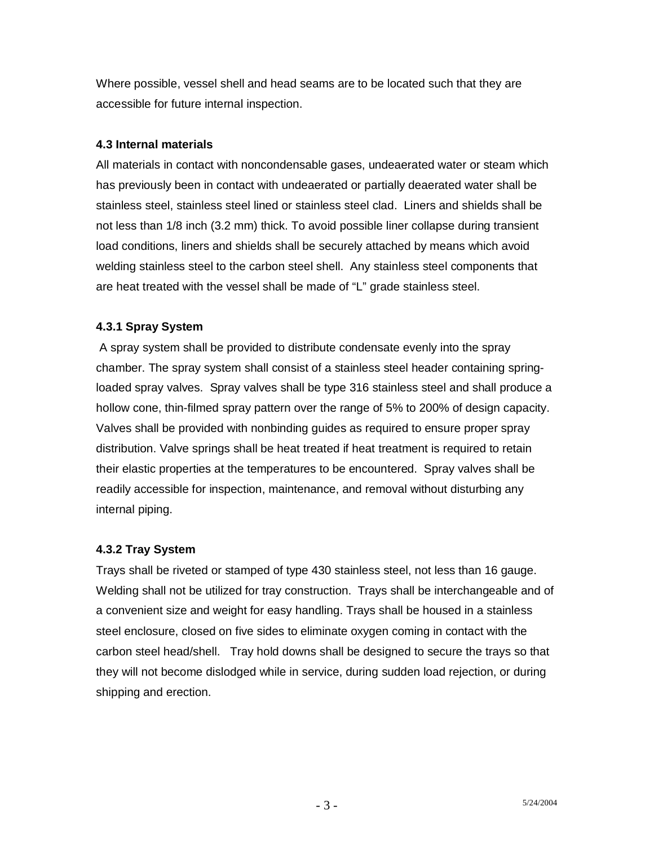Where possible, vessel shell and head seams are to be located such that they are accessible for future internal inspection.

### **4.3 Internal materials**

All materials in contact with noncondensable gases, undeaerated water or steam which has previously been in contact with undeaerated or partially deaerated water shall be stainless steel, stainless steel lined or stainless steel clad. Liners and shields shall be not less than 1/8 inch (3.2 mm) thick. To avoid possible liner collapse during transient load conditions, liners and shields shall be securely attached by means which avoid welding stainless steel to the carbon steel shell. Any stainless steel components that are heat treated with the vessel shall be made of "L" grade stainless steel.

### **4.3.1 Spray System**

 A spray system shall be provided to distribute condensate evenly into the spray chamber. The spray system shall consist of a stainless steel header containing springloaded spray valves. Spray valves shall be type 316 stainless steel and shall produce a hollow cone, thin-filmed spray pattern over the range of 5% to 200% of design capacity. Valves shall be provided with nonbinding guides as required to ensure proper spray distribution. Valve springs shall be heat treated if heat treatment is required to retain their elastic properties at the temperatures to be encountered. Spray valves shall be readily accessible for inspection, maintenance, and removal without disturbing any internal piping.

## **4.3.2 Tray System**

Trays shall be riveted or stamped of type 430 stainless steel, not less than 16 gauge. Welding shall not be utilized for tray construction. Trays shall be interchangeable and of a convenient size and weight for easy handling. Trays shall be housed in a stainless steel enclosure, closed on five sides to eliminate oxygen coming in contact with the carbon steel head/shell. Tray hold downs shall be designed to secure the trays so that they will not become dislodged while in service, during sudden load rejection, or during shipping and erection.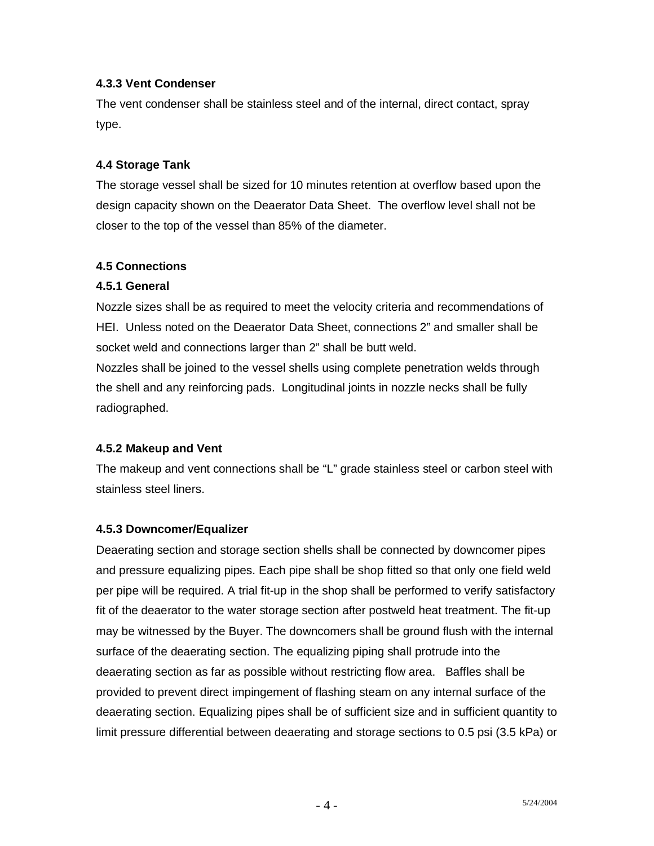### **4.3.3 Vent Condenser**

The vent condenser shall be stainless steel and of the internal, direct contact, spray type.

### **4.4 Storage Tank**

The storage vessel shall be sized for 10 minutes retention at overflow based upon the design capacity shown on the Deaerator Data Sheet. The overflow level shall not be closer to the top of the vessel than 85% of the diameter.

### **4.5 Connections**

### **4.5.1 General**

Nozzle sizes shall be as required to meet the velocity criteria and recommendations of HEI. Unless noted on the Deaerator Data Sheet, connections 2" and smaller shall be socket weld and connections larger than 2" shall be butt weld.

Nozzles shall be joined to the vessel shells using complete penetration welds through the shell and any reinforcing pads. Longitudinal joints in nozzle necks shall be fully radiographed.

### **4.5.2 Makeup and Vent**

The makeup and vent connections shall be "L" grade stainless steel or carbon steel with stainless steel liners.

### **4.5.3 Downcomer/Equalizer**

Deaerating section and storage section shells shall be connected by downcomer pipes and pressure equalizing pipes. Each pipe shall be shop fitted so that only one field weld per pipe will be required. A trial fit-up in the shop shall be performed to verify satisfactory fit of the deaerator to the water storage section after postweld heat treatment. The fit-up may be witnessed by the Buyer. The downcomers shall be ground flush with the internal surface of the deaerating section. The equalizing piping shall protrude into the deaerating section as far as possible without restricting flow area. Baffles shall be provided to prevent direct impingement of flashing steam on any internal surface of the deaerating section. Equalizing pipes shall be of sufficient size and in sufficient quantity to limit pressure differential between deaerating and storage sections to 0.5 psi (3.5 kPa) or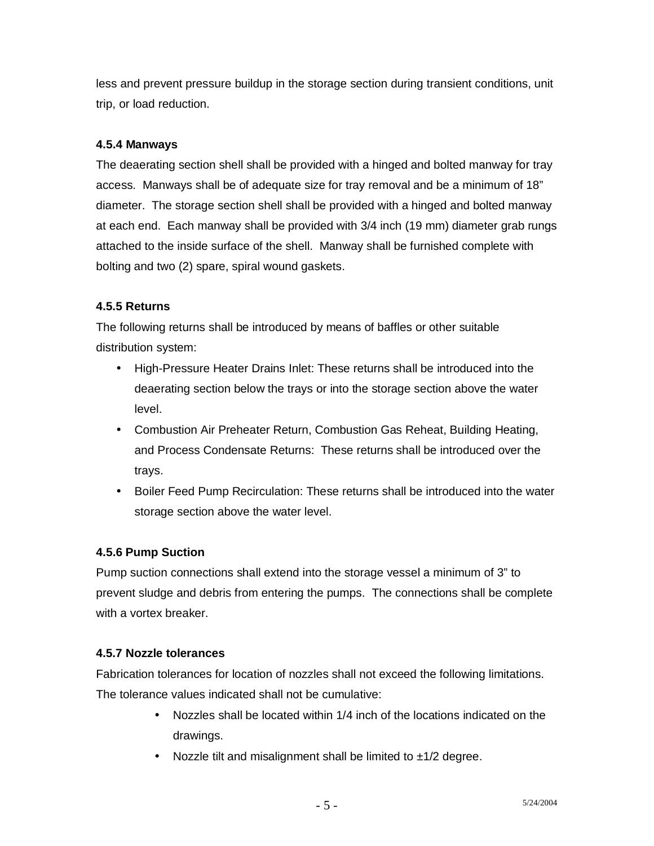less and prevent pressure buildup in the storage section during transient conditions, unit trip, or load reduction.

## **4.5.4 Manways**

The deaerating section shell shall be provided with a hinged and bolted manway for tray access. Manways shall be of adequate size for tray removal and be a minimum of 18" diameter. The storage section shell shall be provided with a hinged and bolted manway at each end. Each manway shall be provided with 3/4 inch (19 mm) diameter grab rungs attached to the inside surface of the shell. Manway shall be furnished complete with bolting and two (2) spare, spiral wound gaskets.

## **4.5.5 Returns**

The following returns shall be introduced by means of baffles or other suitable distribution system:

- High-Pressure Heater Drains Inlet: These returns shall be introduced into the deaerating section below the trays or into the storage section above the water level.
- Combustion Air Preheater Return, Combustion Gas Reheat, Building Heating, and Process Condensate Returns: These returns shall be introduced over the trays.
- Boiler Feed Pump Recirculation: These returns shall be introduced into the water storage section above the water level.

## **4.5.6 Pump Suction**

Pump suction connections shall extend into the storage vessel a minimum of 3" to prevent sludge and debris from entering the pumps. The connections shall be complete with a vortex breaker.

## **4.5.7 Nozzle tolerances**

Fabrication tolerances for location of nozzles shall not exceed the following limitations. The tolerance values indicated shall not be cumulative:

- Nozzles shall be located within 1/4 inch of the locations indicated on the drawings.
- Nozzle tilt and misalignment shall be limited to  $\pm 1/2$  degree.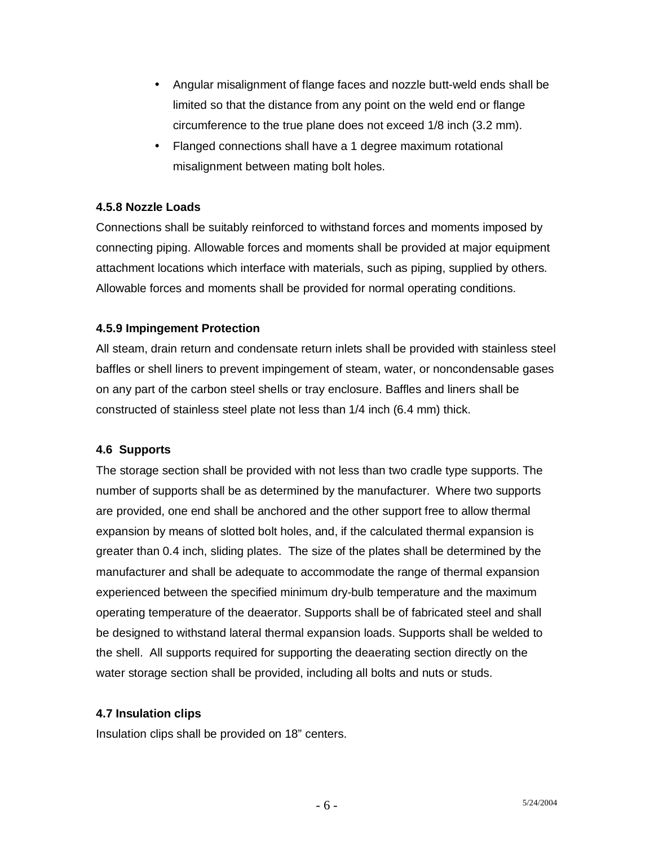- Angular misalignment of flange faces and nozzle butt-weld ends shall be limited so that the distance from any point on the weld end or flange circumference to the true plane does not exceed 1/8 inch (3.2 mm).
- Flanged connections shall have a 1 degree maximum rotational misalignment between mating bolt holes.

#### **4.5.8 Nozzle Loads**

Connections shall be suitably reinforced to withstand forces and moments imposed by connecting piping. Allowable forces and moments shall be provided at major equipment attachment locations which interface with materials, such as piping, supplied by others. Allowable forces and moments shall be provided for normal operating conditions.

#### **4.5.9 Impingement Protection**

All steam, drain return and condensate return inlets shall be provided with stainless steel baffles or shell liners to prevent impingement of steam, water, or noncondensable gases on any part of the carbon steel shells or tray enclosure. Baffles and liners shall be constructed of stainless steel plate not less than 1/4 inch (6.4 mm) thick.

### **4.6 Supports**

The storage section shall be provided with not less than two cradle type supports. The number of supports shall be as determined by the manufacturer. Where two supports are provided, one end shall be anchored and the other support free to allow thermal expansion by means of slotted bolt holes, and, if the calculated thermal expansion is greater than 0.4 inch, sliding plates. The size of the plates shall be determined by the manufacturer and shall be adequate to accommodate the range of thermal expansion experienced between the specified minimum dry-bulb temperature and the maximum operating temperature of the deaerator. Supports shall be of fabricated steel and shall be designed to withstand lateral thermal expansion loads. Supports shall be welded to the shell. All supports required for supporting the deaerating section directly on the water storage section shall be provided, including all bolts and nuts or studs.

#### **4.7 Insulation clips**

Insulation clips shall be provided on 18" centers.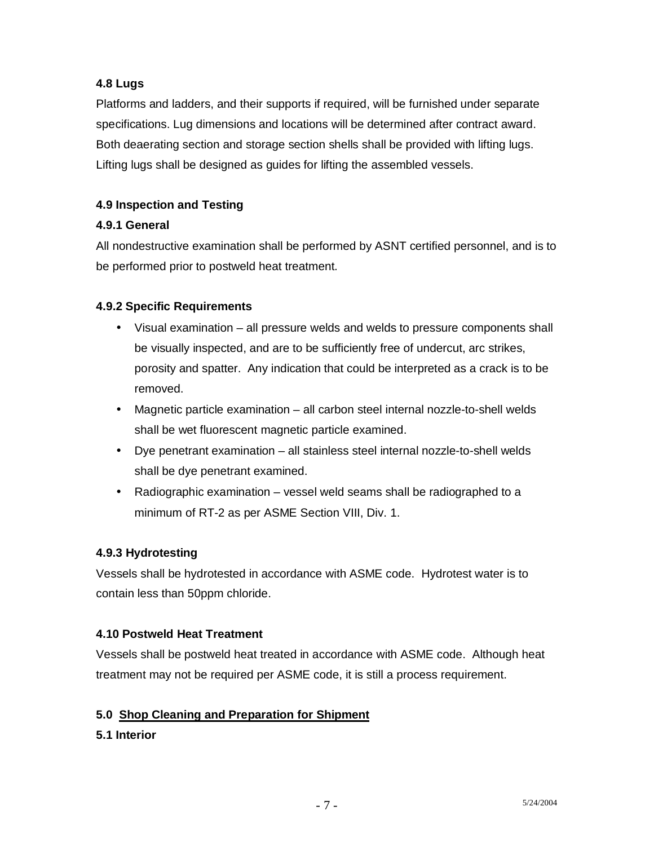## **4.8 Lugs**

Platforms and ladders, and their supports if required, will be furnished under separate specifications. Lug dimensions and locations will be determined after contract award. Both deaerating section and storage section shells shall be provided with lifting lugs. Lifting lugs shall be designed as guides for lifting the assembled vessels.

# **4.9 Inspection and Testing**

## **4.9.1 General**

All nondestructive examination shall be performed by ASNT certified personnel, and is to be performed prior to postweld heat treatment.

### **4.9.2 Specific Requirements**

- Visual examination all pressure welds and welds to pressure components shall be visually inspected, and are to be sufficiently free of undercut, arc strikes, porosity and spatter. Any indication that could be interpreted as a crack is to be removed.
- Magnetic particle examination all carbon steel internal nozzle-to-shell welds shall be wet fluorescent magnetic particle examined.
- Dye penetrant examination all stainless steel internal nozzle-to-shell welds shall be dye penetrant examined.
- Radiographic examination vessel weld seams shall be radiographed to a minimum of RT-2 as per ASME Section VIII, Div. 1.

### **4.9.3 Hydrotesting**

Vessels shall be hydrotested in accordance with ASME code. Hydrotest water is to contain less than 50ppm chloride.

### **4.10 Postweld Heat Treatment**

Vessels shall be postweld heat treated in accordance with ASME code. Although heat treatment may not be required per ASME code, it is still a process requirement.

## **5.0 Shop Cleaning and Preparation for Shipment**

## **5.1 Interior**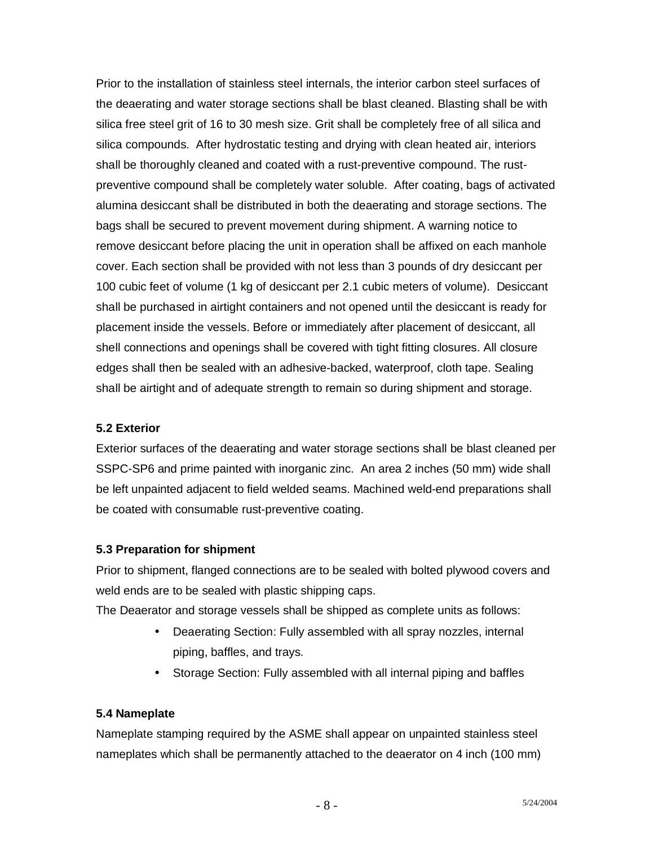Prior to the installation of stainless steel internals, the interior carbon steel surfaces of the deaerating and water storage sections shall be blast cleaned. Blasting shall be with silica free steel grit of 16 to 30 mesh size. Grit shall be completely free of all silica and silica compounds. After hydrostatic testing and drying with clean heated air, interiors shall be thoroughly cleaned and coated with a rust-preventive compound. The rustpreventive compound shall be completely water soluble. After coating, bags of activated alumina desiccant shall be distributed in both the deaerating and storage sections. The bags shall be secured to prevent movement during shipment. A warning notice to remove desiccant before placing the unit in operation shall be affixed on each manhole cover. Each section shall be provided with not less than 3 pounds of dry desiccant per 100 cubic feet of volume (1 kg of desiccant per 2.1 cubic meters of volume). Desiccant shall be purchased in airtight containers and not opened until the desiccant is ready for placement inside the vessels. Before or immediately after placement of desiccant, all shell connections and openings shall be covered with tight fitting closures. All closure edges shall then be sealed with an adhesive-backed, waterproof, cloth tape. Sealing shall be airtight and of adequate strength to remain so during shipment and storage.

### **5.2 Exterior**

Exterior surfaces of the deaerating and water storage sections shall be blast cleaned per SSPC-SP6 and prime painted with inorganic zinc. An area 2 inches (50 mm) wide shall be left unpainted adjacent to field welded seams. Machined weld-end preparations shall be coated with consumable rust-preventive coating.

### **5.3 Preparation for shipment**

Prior to shipment, flanged connections are to be sealed with bolted plywood covers and weld ends are to be sealed with plastic shipping caps.

The Deaerator and storage vessels shall be shipped as complete units as follows:

- Deaerating Section: Fully assembled with all spray nozzles, internal piping, baffles, and trays.
- Storage Section: Fully assembled with all internal piping and baffles

## **5.4 Nameplate**

Nameplate stamping required by the ASME shall appear on unpainted stainless steel nameplates which shall be permanently attached to the deaerator on 4 inch (100 mm)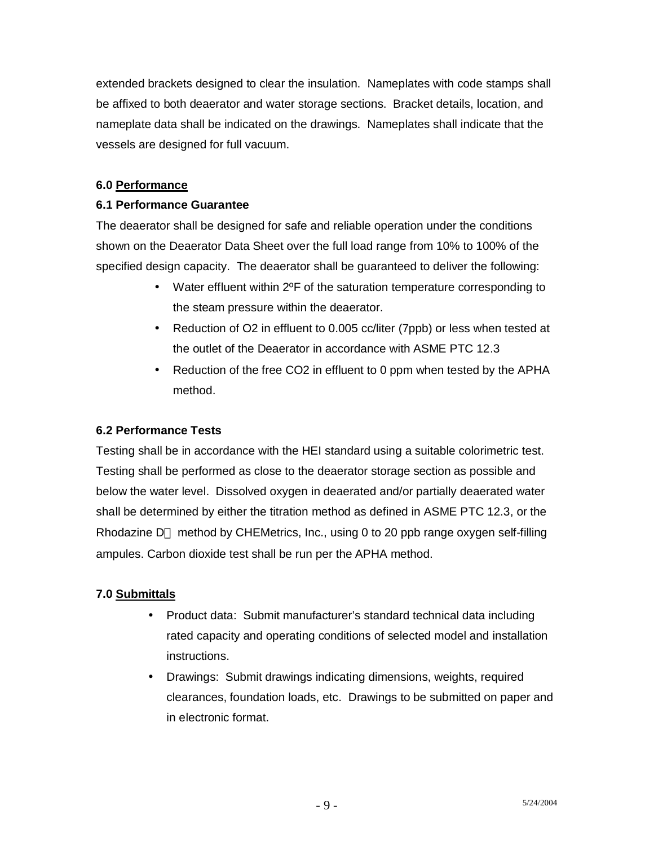extended brackets designed to clear the insulation. Nameplates with code stamps shall be affixed to both deaerator and water storage sections. Bracket details, location, and nameplate data shall be indicated on the drawings. Nameplates shall indicate that the vessels are designed for full vacuum.

### **6.0 Performance**

### **6.1 Performance Guarantee**

The deaerator shall be designed for safe and reliable operation under the conditions shown on the Deaerator Data Sheet over the full load range from 10% to 100% of the specified design capacity. The deaerator shall be guaranteed to deliver the following:

- Water effluent within 2ºF of the saturation temperature corresponding to the steam pressure within the deaerator.
- Reduction of O2 in effluent to 0.005 cc/liter (7ppb) or less when tested at the outlet of the Deaerator in accordance with ASME PTC 12.3
- Reduction of the free CO2 in effluent to 0 ppm when tested by the APHA method.

## **6.2 Performance Tests**

Testing shall be in accordance with the HEI standard using a suitable colorimetric test. Testing shall be performed as close to the deaerator storage section as possible and below the water level. Dissolved oxygen in deaerated and/or partially deaerated water shall be determined by either the titration method as defined in ASME PTC 12.3, or the Rhodazine  $D^{TM}$  method by CHEMetrics, Inc., using 0 to 20 ppb range oxygen self-filling ampules. Carbon dioxide test shall be run per the APHA method.

## **7.0 Submittals**

- Product data: Submit manufacturer's standard technical data including rated capacity and operating conditions of selected model and installation instructions.
- Drawings: Submit drawings indicating dimensions, weights, required clearances, foundation loads, etc. Drawings to be submitted on paper and in electronic format.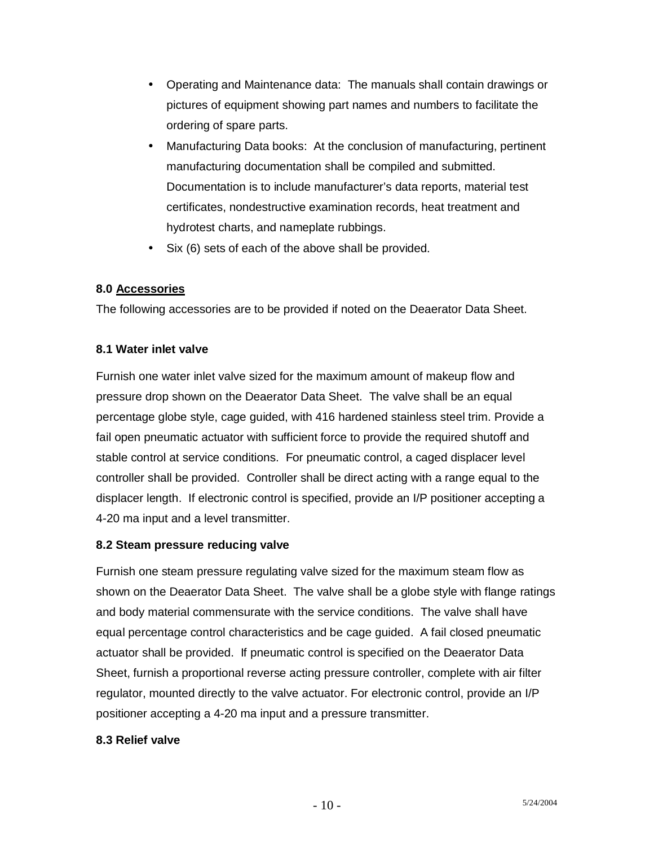- Operating and Maintenance data: The manuals shall contain drawings or pictures of equipment showing part names and numbers to facilitate the ordering of spare parts.
- Manufacturing Data books: At the conclusion of manufacturing, pertinent manufacturing documentation shall be compiled and submitted. Documentation is to include manufacturer's data reports, material test certificates, nondestructive examination records, heat treatment and hydrotest charts, and nameplate rubbings.
- Six (6) sets of each of the above shall be provided.

### **8.0 Accessories**

The following accessories are to be provided if noted on the Deaerator Data Sheet.

### **8.1 Water inlet valve**

Furnish one water inlet valve sized for the maximum amount of makeup flow and pressure drop shown on the Deaerator Data Sheet. The valve shall be an equal percentage globe style, cage guided, with 416 hardened stainless steel trim. Provide a fail open pneumatic actuator with sufficient force to provide the required shutoff and stable control at service conditions. For pneumatic control, a caged displacer level controller shall be provided. Controller shall be direct acting with a range equal to the displacer length. If electronic control is specified, provide an I/P positioner accepting a 4-20 ma input and a level transmitter.

### **8.2 Steam pressure reducing valve**

Furnish one steam pressure regulating valve sized for the maximum steam flow as shown on the Deaerator Data Sheet. The valve shall be a globe style with flange ratings and body material commensurate with the service conditions. The valve shall have equal percentage control characteristics and be cage guided. A fail closed pneumatic actuator shall be provided. If pneumatic control is specified on the Deaerator Data Sheet, furnish a proportional reverse acting pressure controller, complete with air filter regulator, mounted directly to the valve actuator. For electronic control, provide an I/P positioner accepting a 4-20 ma input and a pressure transmitter.

### **8.3 Relief valve**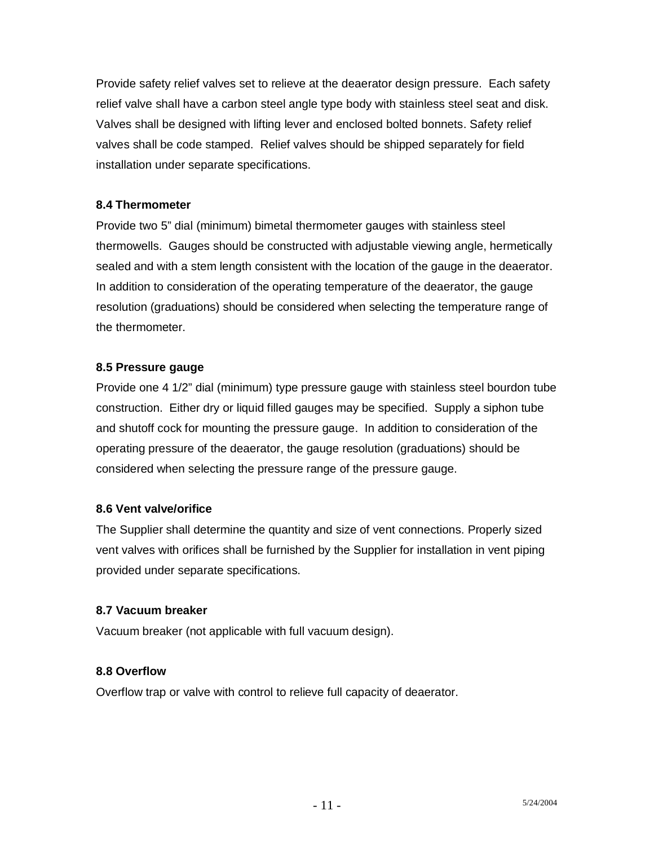Provide safety relief valves set to relieve at the deaerator design pressure. Each safety relief valve shall have a carbon steel angle type body with stainless steel seat and disk. Valves shall be designed with lifting lever and enclosed bolted bonnets. Safety relief valves shall be code stamped. Relief valves should be shipped separately for field installation under separate specifications.

### **8.4 Thermometer**

Provide two 5" dial (minimum) bimetal thermometer gauges with stainless steel thermowells. Gauges should be constructed with adjustable viewing angle, hermetically sealed and with a stem length consistent with the location of the gauge in the deaerator. In addition to consideration of the operating temperature of the deaerator, the gauge resolution (graduations) should be considered when selecting the temperature range of the thermometer.

### **8.5 Pressure gauge**

Provide one 4 1/2" dial (minimum) type pressure gauge with stainless steel bourdon tube construction. Either dry or liquid filled gauges may be specified. Supply a siphon tube and shutoff cock for mounting the pressure gauge. In addition to consideration of the operating pressure of the deaerator, the gauge resolution (graduations) should be considered when selecting the pressure range of the pressure gauge.

### **8.6 Vent valve/orifice**

The Supplier shall determine the quantity and size of vent connections. Properly sized vent valves with orifices shall be furnished by the Supplier for installation in vent piping provided under separate specifications.

### **8.7 Vacuum breaker**

Vacuum breaker (not applicable with full vacuum design).

## **8.8 Overflow**

Overflow trap or valve with control to relieve full capacity of deaerator.